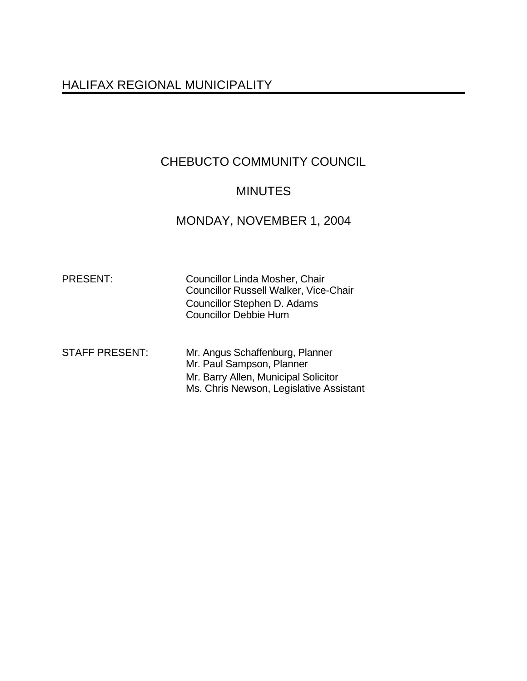# HALIFAX REGIONAL MUNICIPALITY

# CHEBUCTO COMMUNITY COUNCIL

# MINUTES

# MONDAY, NOVEMBER 1, 2004

| <b>PRESENT:</b> |  |
|-----------------|--|
|                 |  |

Councillor Linda Mosher, Chair Councillor Russell Walker, Vice-Chair Councillor Stephen D. Adams Councillor Debbie Hum

STAFF PRESENT: Mr. Angus Schaffenburg, Planner Mr. Paul Sampson, Planner Mr. Barry Allen, Municipal Solicitor Ms. Chris Newson, Legislative Assistant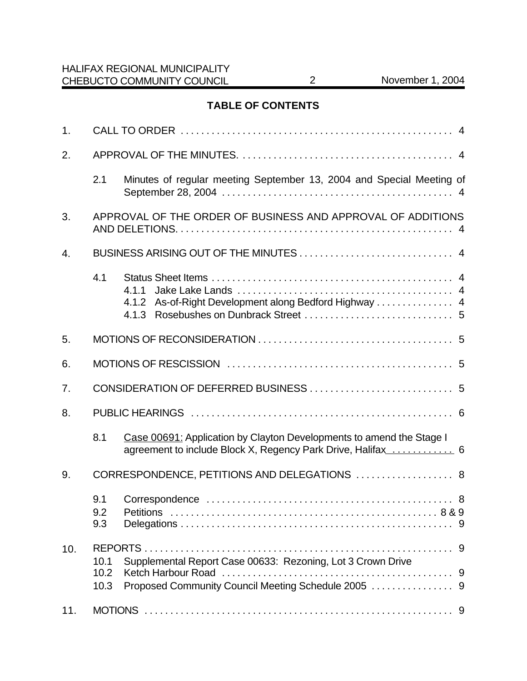# **TABLE OF CONTENTS**

| 1.  |                                                             |                                                                                                                    |  |  |
|-----|-------------------------------------------------------------|--------------------------------------------------------------------------------------------------------------------|--|--|
| 2.  |                                                             |                                                                                                                    |  |  |
|     | 2.1                                                         | Minutes of regular meeting September 13, 2004 and Special Meeting of                                               |  |  |
| 3.  | APPROVAL OF THE ORDER OF BUSINESS AND APPROVAL OF ADDITIONS |                                                                                                                    |  |  |
| 4.  |                                                             |                                                                                                                    |  |  |
|     | 4.1                                                         | 4.1.1<br>4.1.2<br>4.1.3                                                                                            |  |  |
| 5.  |                                                             |                                                                                                                    |  |  |
| 6.  |                                                             |                                                                                                                    |  |  |
| 7.  |                                                             |                                                                                                                    |  |  |
| 8.  |                                                             |                                                                                                                    |  |  |
|     | 8.1                                                         | Case 00691: Application by Clayton Developments to amend the Stage I                                               |  |  |
| 9.  | CORRESPONDENCE, PETITIONS AND DELEGATIONS  8                |                                                                                                                    |  |  |
|     | 9.1<br>9.2<br>9.3                                           |                                                                                                                    |  |  |
| 10. | 10.1<br>10.2<br>10.3                                        | Supplemental Report Case 00633: Rezoning, Lot 3 Crown Drive<br>Proposed Community Council Meeting Schedule 2005  9 |  |  |
| 11. |                                                             |                                                                                                                    |  |  |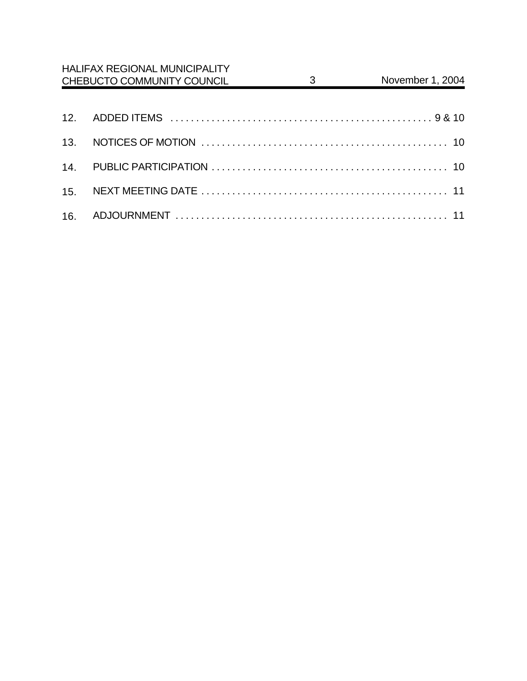| <b>HALIFAX REGIONAL MUNICIPALITY</b><br>CHEBUCTO COMMUNITY COUNCIL | $3 \quad \text{or}$ | November 1, 2004 |
|--------------------------------------------------------------------|---------------------|------------------|
|                                                                    |                     |                  |
|                                                                    |                     |                  |
|                                                                    |                     |                  |
|                                                                    |                     |                  |
|                                                                    |                     |                  |
|                                                                    |                     |                  |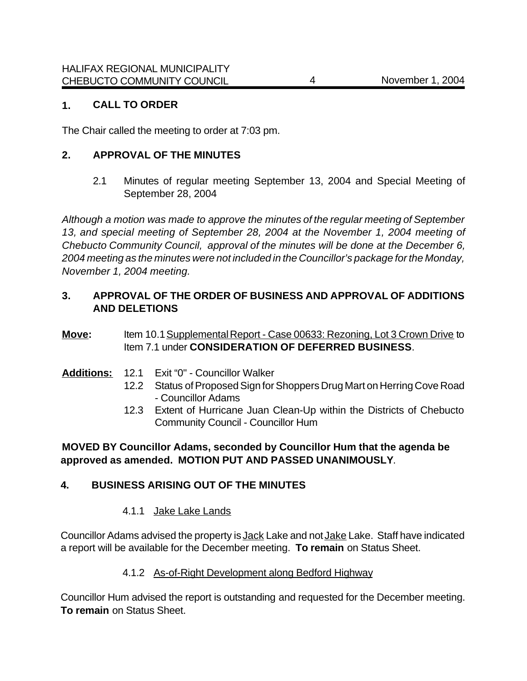## **1. CALL TO ORDER**

The Chair called the meeting to order at 7:03 pm.

## **2. APPROVAL OF THE MINUTES**

2.1 Minutes of regular meeting September 13, 2004 and Special Meeting of September 28, 2004

*Although a motion was made to approve the minutes of the regular meeting of September 13, and special meeting of September 28, 2004 at the November 1, 2004 meeting of Chebucto Community Council, approval of the minutes will be done at the December 6, 2004 meeting as the minutes were not included in the Councillor's package for the Monday, November 1, 2004 meeting.*

# **3. APPROVAL OF THE ORDER OF BUSINESS AND APPROVAL OF ADDITIONS AND DELETIONS**

## **Move:** Item 10.1 Supplemental Report - Case 00633: Rezoning, Lot 3 Crown Drive to Item 7.1 under **CONSIDERATION OF DEFERRED BUSINESS**.

- **Additions:** 12.1 Exit "0" Councillor Walker
	- 12.2 Status of Proposed Sign for Shoppers Drug Mart on Herring Cove Road - Councillor Adams
	- 12.3 Extent of Hurricane Juan Clean-Up within the Districts of Chebucto Community Council - Councillor Hum

# **MOVED BY Councillor Adams, seconded by Councillor Hum that the agenda be approved as amended. MOTION PUT AND PASSED UNANIMOUSLY**.

# **4. BUSINESS ARISING OUT OF THE MINUTES**

# 4.1.1 Jake Lake Lands

Councillor Adams advised the property is Jack Lake and not Jake Lake. Staff have indicated a report will be available for the December meeting. **To remain** on Status Sheet.

#### 4.1.2 As-of-Right Development along Bedford Highway

Councillor Hum advised the report is outstanding and requested for the December meeting. **To remain** on Status Sheet.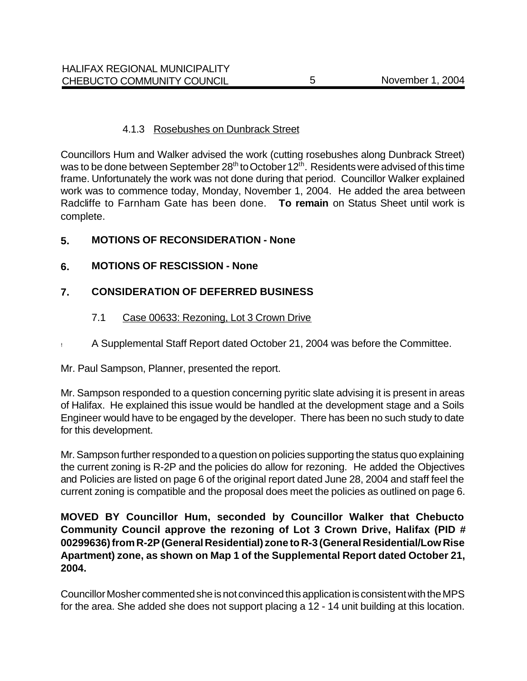## 4.1.3 Rosebushes on Dunbrack Street

Councillors Hum and Walker advised the work (cutting rosebushes along Dunbrack Street) was to be done between September 28<sup>th</sup> to October 12<sup>th</sup>. Residents were advised of this time frame. Unfortunately the work was not done during that period. Councillor Walker explained work was to commence today, Monday, November 1, 2004. He added the area between Radcliffe to Farnham Gate has been done. **To remain** on Status Sheet until work is complete.

# **5. MOTIONS OF RECONSIDERATION - None**

# **6. MOTIONS OF RESCISSION - None**

# **7. CONSIDERATION OF DEFERRED BUSINESS**

# 7.1 Case 00633: Rezoning, Lot 3 Crown Drive

! A Supplemental Staff Report dated October 21, 2004 was before the Committee.

Mr. Paul Sampson, Planner, presented the report.

Mr. Sampson responded to a question concerning pyritic slate advising it is present in areas of Halifax. He explained this issue would be handled at the development stage and a Soils Engineer would have to be engaged by the developer. There has been no such study to date for this development.

Mr. Sampson further responded to a question on policies supporting the status quo explaining the current zoning is R-2P and the policies do allow for rezoning. He added the Objectives and Policies are listed on page 6 of the original report dated June 28, 2004 and staff feel the current zoning is compatible and the proposal does meet the policies as outlined on page 6.

# **MOVED BY Councillor Hum, seconded by Councillor Walker that Chebucto Community Council approve the rezoning of Lot 3 Crown Drive, Halifax (PID # 00299636) from R-2P (General Residential) zone to R-3 (General Residential/Low Rise Apartment) zone, as shown on Map 1 of the Supplemental Report dated October 21, 2004.**

Councillor Mosher commented she is not convinced this application is consistent with the MPS for the area. She added she does not support placing a 12 - 14 unit building at this location.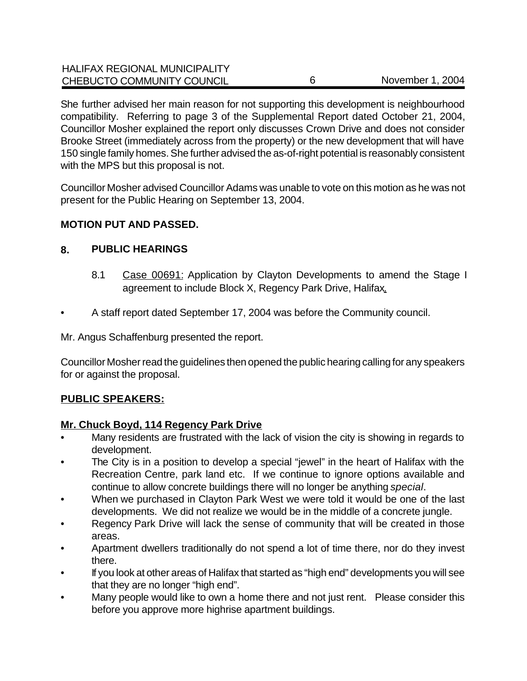| <b>HALIFAX REGIONAL MUNICIPALITY</b> |                  |
|--------------------------------------|------------------|
| CHEBUCTO COMMUNITY COUNCIL           | November 1, 2004 |

She further advised her main reason for not supporting this development is neighbourhood compatibility. Referring to page 3 of the Supplemental Report dated October 21, 2004, Councillor Mosher explained the report only discusses Crown Drive and does not consider Brooke Street (immediately across from the property) or the new development that will have 150 single family homes. She further advised the as-of-right potential is reasonably consistent with the MPS but this proposal is not.

Councillor Mosher advised Councillor Adams was unable to vote on this motion as he was not present for the Public Hearing on September 13, 2004.

## **MOTION PUT AND PASSED.**

#### **8. PUBLIC HEARINGS**

- 8.1 Case 00691: Application by Clayton Developments to amend the Stage I agreement to include Block X, Regency Park Drive, Halifax.
- A staff report dated September 17, 2004 was before the Community council.

Mr. Angus Schaffenburg presented the report.

Councillor Mosher read the guidelines then opened the public hearing calling for any speakers for or against the proposal.

# **PUBLIC SPEAKERS:**

#### **Mr. Chuck Boyd, 114 Regency Park Drive**

- Many residents are frustrated with the lack of vision the city is showing in regards to development.
- The City is in a position to develop a special "jewel" in the heart of Halifax with the Recreation Centre, park land etc. If we continue to ignore options available and continue to allow concrete buildings there will no longer be anything *special*.
- When we purchased in Clayton Park West we were told it would be one of the last developments. We did not realize we would be in the middle of a concrete jungle.
- Regency Park Drive will lack the sense of community that will be created in those areas.
- Apartment dwellers traditionally do not spend a lot of time there, nor do they invest there.
- If you look at other areas of Halifax that started as "high end" developments you will see that they are no longer "high end".
- Many people would like to own a home there and not just rent. Please consider this before you approve more highrise apartment buildings.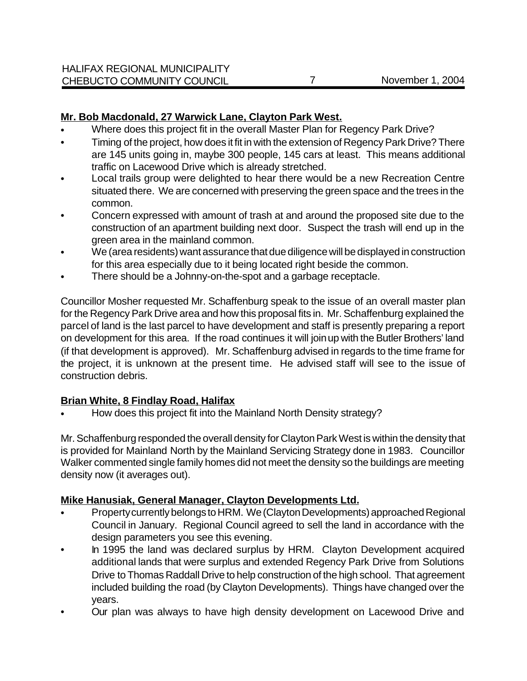# **Mr. Bob Macdonald, 27 Warwick Lane, Clayton Park West.**

- Where does this project fit in the overall Master Plan for Regency Park Drive?
- Timing of the project, how does it fit in with the extension of Regency Park Drive? There are 145 units going in, maybe 300 people, 145 cars at least. This means additional traffic on Lacewood Drive which is already stretched.
- Local trails group were delighted to hear there would be a new Recreation Centre situated there. We are concerned with preserving the green space and the trees in the common.
- Concern expressed with amount of trash at and around the proposed site due to the construction of an apartment building next door. Suspect the trash will end up in the green area in the mainland common.
- We (area residents) want assurance that due diligence will be displayed in construction for this area especially due to it being located right beside the common.
- There should be a Johnny-on-the-spot and a garbage receptacle.

Councillor Mosher requested Mr. Schaffenburg speak to the issue of an overall master plan for the Regency Park Drive area and how this proposal fits in. Mr. Schaffenburg explained the parcel of land is the last parcel to have development and staff is presently preparing a report on development for this area. If the road continues it will join up with the Butler Brothers' land (if that development is approved). Mr. Schaffenburg advised in regards to the time frame for the project, it is unknown at the present time. He advised staff will see to the issue of construction debris.

# **Brian White, 8 Findlay Road, Halifax**

• How does this project fit into the Mainland North Density strategy?

Mr. Schaffenburg responded the overall density for Clayton Park West is within the density that is provided for Mainland North by the Mainland Servicing Strategy done in 1983. Councillor Walker commented single family homes did not meet the density so the buildings are meeting density now (it averages out).

# **Mike Hanusiak, General Manager, Clayton Developments Ltd.**

- Property currently belongs to HRM. We (Clayton Developments) approached Regional Council in January. Regional Council agreed to sell the land in accordance with the design parameters you see this evening.
- In 1995 the land was declared surplus by HRM. Clayton Development acquired additional lands that were surplus and extended Regency Park Drive from Solutions Drive to Thomas Raddall Drive to help construction of the high school. That agreement included building the road (by Clayton Developments). Things have changed over the years.
- Our plan was always to have high density development on Lacewood Drive and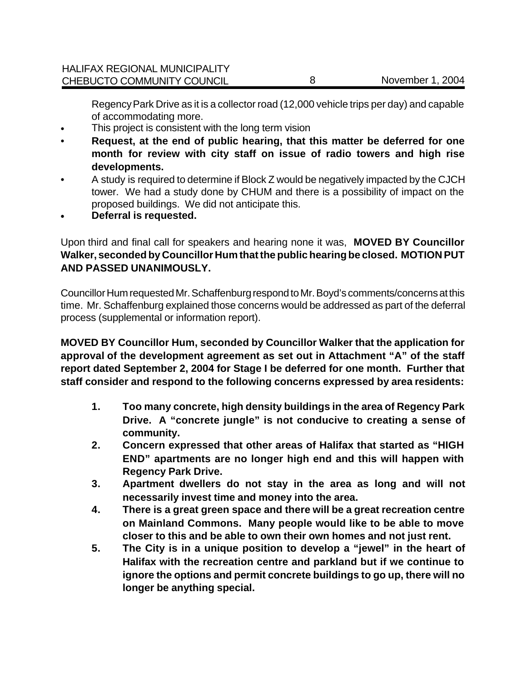Regency Park Drive as it is a collector road (12,000 vehicle trips per day) and capable of accommodating more.

- This project is consistent with the long term vision
- **Request, at the end of public hearing, that this matter be deferred for one month for review with city staff on issue of radio towers and high rise developments.**
- A study is required to determine if Block Z would be negatively impacted by the CJCH tower. We had a study done by CHUM and there is a possibility of impact on the proposed buildings. We did not anticipate this.
- **• Deferral is requested.**

Upon third and final call for speakers and hearing none it was, **MOVED BY Councillor Walker, seconded by Councillor Hum that the public hearing be closed. MOTION PUT AND PASSED UNANIMOUSLY.** 

Councillor Hum requested Mr. Schaffenburg respond to Mr. Boyd's comments/concerns at this time. Mr. Schaffenburg explained those concerns would be addressed as part of the deferral process (supplemental or information report).

**MOVED BY Councillor Hum, seconded by Councillor Walker that the application for approval of the development agreement as set out in Attachment "A" of the staff report dated September 2, 2004 for Stage I be deferred for one month. Further that staff consider and respond to the following concerns expressed by area residents:**

- **1. Too many concrete, high density buildings in the area of Regency Park Drive. A "concrete jungle" is not conducive to creating a sense of community.**
- **2. Concern expressed that other areas of Halifax that started as "HIGH END" apartments are no longer high end and this will happen with Regency Park Drive.**
- **3. Apartment dwellers do not stay in the area as long and will not necessarily invest time and money into the area.**
- **4. There is a great green space and there will be a great recreation centre on Mainland Commons. Many people would like to be able to move closer to this and be able to own their own homes and not just rent.**
- **5. The City is in a unique position to develop a "jewel" in the heart of Halifax with the recreation centre and parkland but if we continue to ignore the options and permit concrete buildings to go up, there will no longer be anything special.**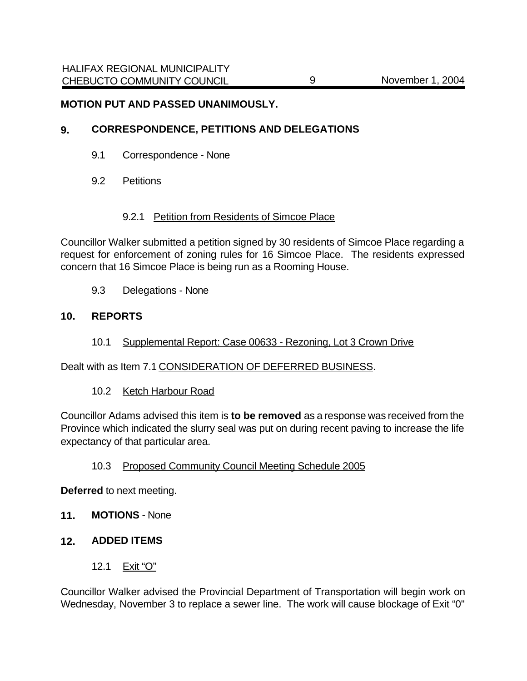#### **MOTION PUT AND PASSED UNANIMOUSLY.**

#### **9. CORRESPONDENCE, PETITIONS AND DELEGATIONS**

- 9.1 Correspondence None
- 9.2 Petitions

#### 9.2.1 Petition from Residents of Simcoe Place

Councillor Walker submitted a petition signed by 30 residents of Simcoe Place regarding a request for enforcement of zoning rules for 16 Simcoe Place. The residents expressed concern that 16 Simcoe Place is being run as a Rooming House.

9.3 Delegations - None

## **10. REPORTS**

10.1 Supplemental Report: Case 00633 - Rezoning, Lot 3 Crown Drive

Dealt with as Item 7.1 CONSIDERATION OF DEFERRED BUSINESS.

#### 10.2 Ketch Harbour Road

Councillor Adams advised this item is **to be removed** as a response was received from the Province which indicated the slurry seal was put on during recent paving to increase the life expectancy of that particular area.

#### 10.3 Proposed Community Council Meeting Schedule 2005

**Deferred** to next meeting.

**11. MOTIONS** - None

# **12. ADDED ITEMS**

12.1 Exit "O"

Councillor Walker advised the Provincial Department of Transportation will begin work on Wednesday, November 3 to replace a sewer line. The work will cause blockage of Exit "0"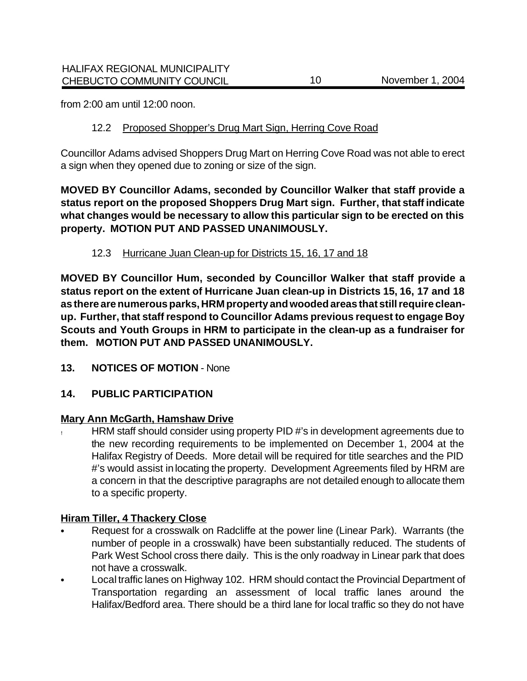from 2:00 am until 12:00 noon.

# 12.2 Proposed Shopper's Drug Mart Sign, Herring Cove Road

Councillor Adams advised Shoppers Drug Mart on Herring Cove Road was not able to erect a sign when they opened due to zoning or size of the sign.

**MOVED BY Councillor Adams, seconded by Councillor Walker that staff provide a status report on the proposed Shoppers Drug Mart sign. Further, that staff indicate what changes would be necessary to allow this particular sign to be erected on this property. MOTION PUT AND PASSED UNANIMOUSLY.**

# 12.3 Hurricane Juan Clean-up for Districts 15, 16, 17 and 18

**MOVED BY Councillor Hum, seconded by Councillor Walker that staff provide a status report on the extent of Hurricane Juan clean-up in Districts 15, 16, 17 and 18 as there are numerous parks, HRM property and wooded areas that still require cleanup. Further, that staff respond to Councillor Adams previous request to engage Boy Scouts and Youth Groups in HRM to participate in the clean-up as a fundraiser for them. MOTION PUT AND PASSED UNANIMOUSLY.**

13. NOTICES OF MOTION - None

# **14. PUBLIC PARTICIPATION**

# **Mary Ann McGarth, Hamshaw Drive**

! HRM staff should consider using property PID #'s in development agreements due to the new recording requirements to be implemented on December 1, 2004 at the Halifax Registry of Deeds. More detail will be required for title searches and the PID #'s would assist in locating the property. Development Agreements filed by HRM are a concern in that the descriptive paragraphs are not detailed enough to allocate them to a specific property.

# **Hiram Tiller, 4 Thackery Close**

- Request for a crosswalk on Radcliffe at the power line (Linear Park). Warrants (the number of people in a crosswalk) have been substantially reduced. The students of Park West School cross there daily. This is the only roadway in Linear park that does not have a crosswalk.
- Local traffic lanes on Highway 102. HRM should contact the Provincial Department of Transportation regarding an assessment of local traffic lanes around the Halifax/Bedford area. There should be a third lane for local traffic so they do not have